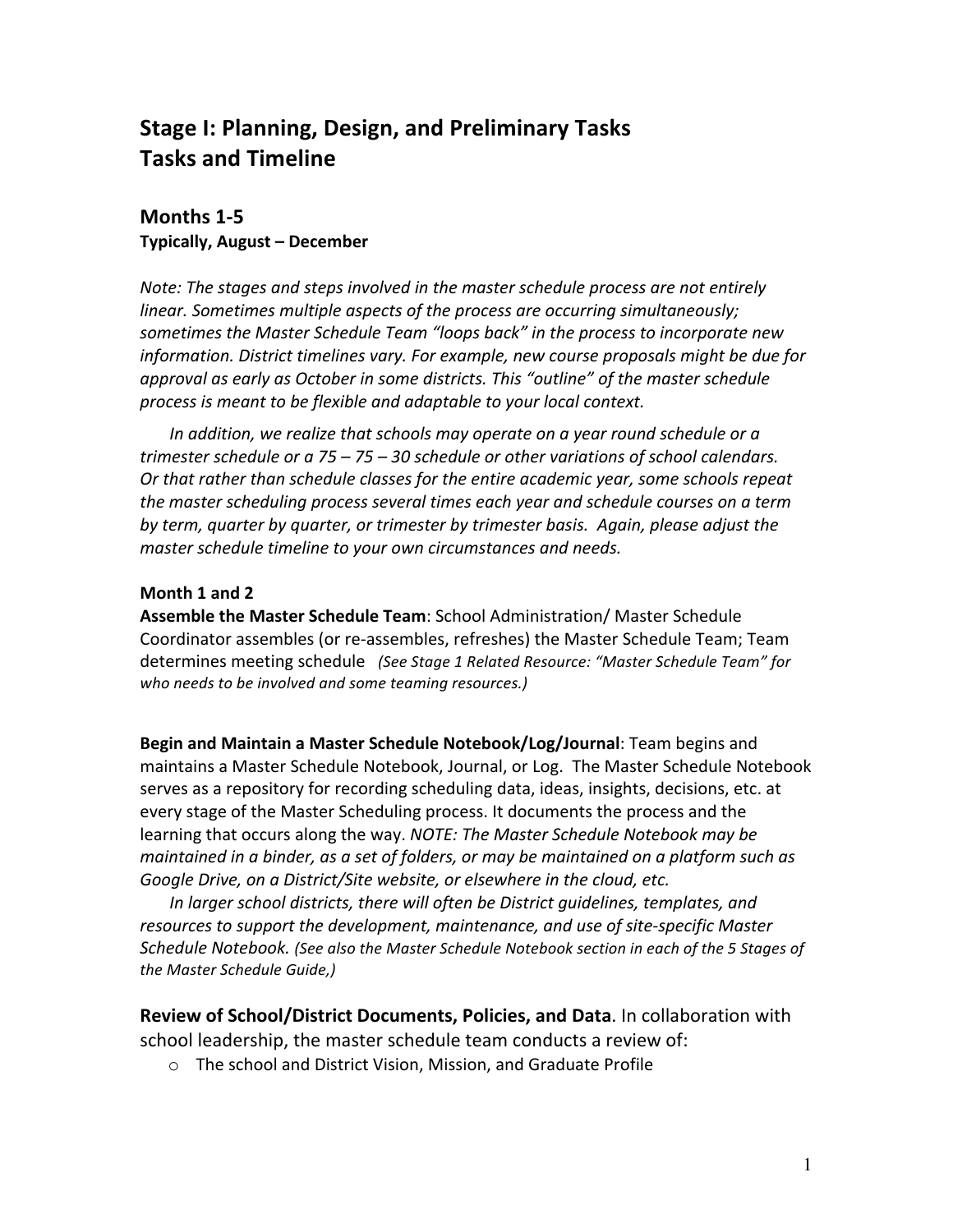# **Stage I: Planning, Design, and Preliminary Tasks Tasks and Timeline**

### **Months 1-5 Typically, August - December**

*Note: The stages and steps involved in the master schedule process are not entirely* linear. Sometimes multiple aspects of the process are occurring simultaneously; sometimes the Master Schedule Team "loops back" in the process to incorporate new *information.* District *timelines vary. For example, new course proposals might be due for approval as early as October in some districts. This "outline" of the master schedule* process is meant to be flexible and adaptable to your local context.

In addition, we realize that schools may operate on a year round schedule or a *trimester schedule or a 75* – 75 – 30 schedule or other variations of school calendars. Or that rather than schedule classes for the entire academic year, some schools repeat *the master scheduling process several times each year and schedule courses on a term* by *term, quarter by quarter, or trimester by trimester basis. Again, please adjust the* master schedule timeline to your own circumstances and needs.

### **Month 1 and 2**

**Assemble the Master Schedule Team**: School Administration/ Master Schedule Coordinator assembles (or re-assembles, refreshes) the Master Schedule Team; Team determines meeting schedule (See Stage 1 Related Resource: "Master Schedule Team" for who needs to be involved and some teaming resources.)

Begin and Maintain a Master Schedule Notebook/Log/Journal: Team begins and maintains a Master Schedule Notebook, Journal, or Log. The Master Schedule Notebook serves as a repository for recording scheduling data, ideas, insights, decisions, etc. at every stage of the Master Scheduling process. It documents the process and the learning that occurs along the way. *NOTE: The Master Schedule Notebook may be maintained in a binder, as a set of folders, or may be maintained on a platform such as* Google Drive, on a District/Site website, or elsewhere in the cloud, etc.

*In larger school districts, there will often be District quidelines, templates, and* resources to support the development, maintenance, and use of site-specific Master Schedule Notebook. (See also the Master Schedule Notebook section in each of the 5 Stages of *the Master Schedule Guide,)* 

**Review of School/District Documents, Policies, and Data.** In collaboration with school leadership, the master schedule team conducts a review of:

 $\circ$  The school and District Vision, Mission, and Graduate Profile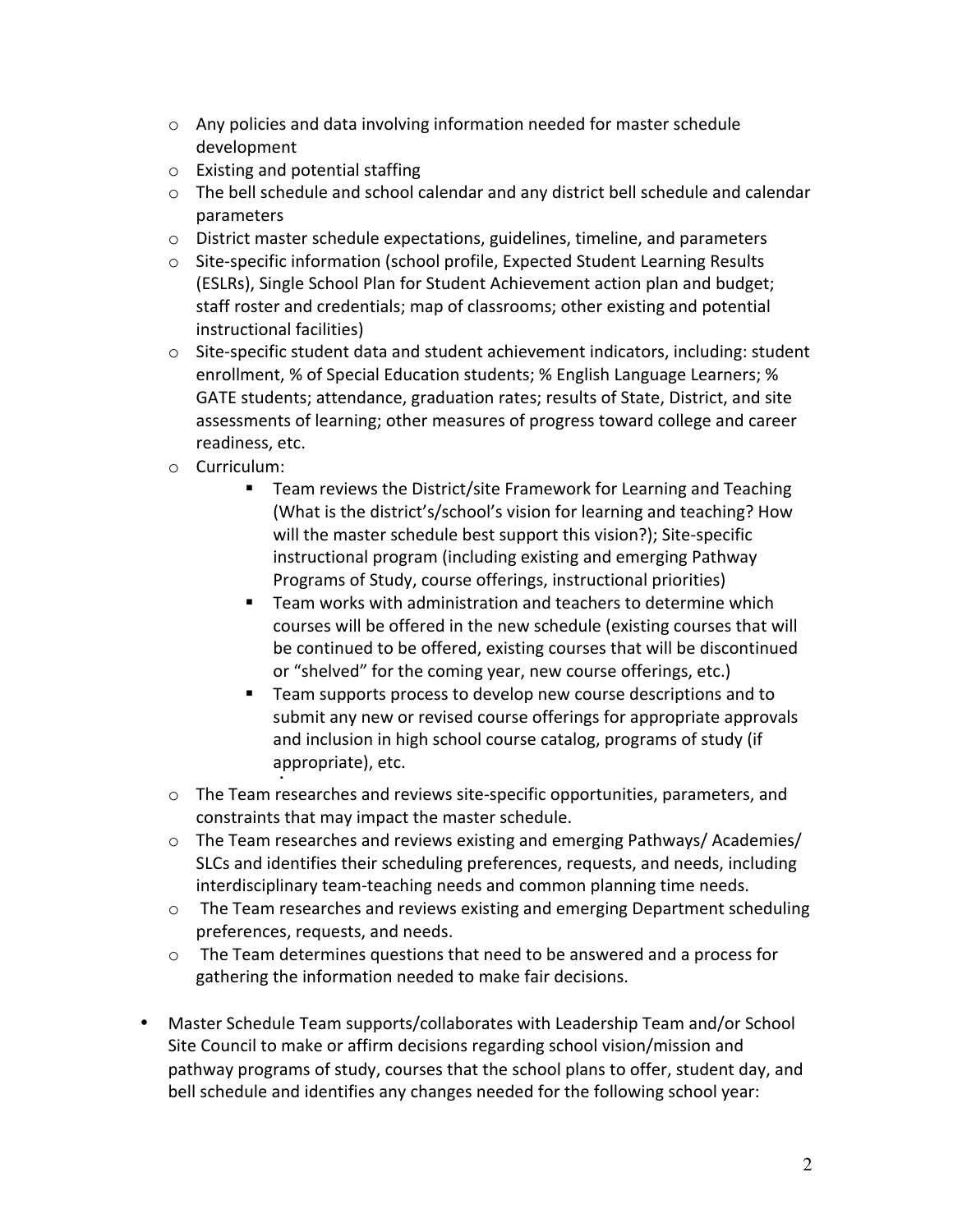- $\circ$  Any policies and data involving information needed for master schedule development
- $\circ$  Existing and potential staffing
- $\circ$  The bell schedule and school calendar and any district bell schedule and calendar parameters
- $\circ$  District master schedule expectations, guidelines, timeline, and parameters
- $\circ$  Site-specific information (school profile, Expected Student Learning Results (ESLRs), Single School Plan for Student Achievement action plan and budget; staff roster and credentials; map of classrooms; other existing and potential instructional facilities)
- $\circ$  Site-specific student data and student achievement indicators, including: student enrollment, % of Special Education students; % English Language Learners; % GATE students; attendance, graduation rates; results of State, District, and site assessments of learning; other measures of progress toward college and career readiness, etc.
- o Curriculum:

§

- Team reviews the District/site Framework for Learning and Teaching (What is the district's/school's vision for learning and teaching? How will the master schedule best support this vision?); Site-specific instructional program (including existing and emerging Pathway Programs of Study, course offerings, instructional priorities)
- Team works with administration and teachers to determine which courses will be offered in the new schedule (existing courses that will be continued to be offered, existing courses that will be discontinued or "shelved" for the coming year, new course offerings, etc.)
- Team supports process to develop new course descriptions and to submit any new or revised course offerings for appropriate approvals and inclusion in high school course catalog, programs of study (if appropriate), etc.
- $\circ$  The Team researches and reviews site-specific opportunities, parameters, and constraints that may impact the master schedule.
- $\circ$  The Team researches and reviews existing and emerging Pathways/ Academies/ SLCs and identifies their scheduling preferences, requests, and needs, including interdisciplinary team-teaching needs and common planning time needs.
- $\circ$  The Team researches and reviews existing and emerging Department scheduling preferences, requests, and needs.
- $\circ$  The Team determines questions that need to be answered and a process for gathering the information needed to make fair decisions.
- Master Schedule Team supports/collaborates with Leadership Team and/or School Site Council to make or affirm decisions regarding school vision/mission and pathway programs of study, courses that the school plans to offer, student day, and bell schedule and identifies any changes needed for the following school year: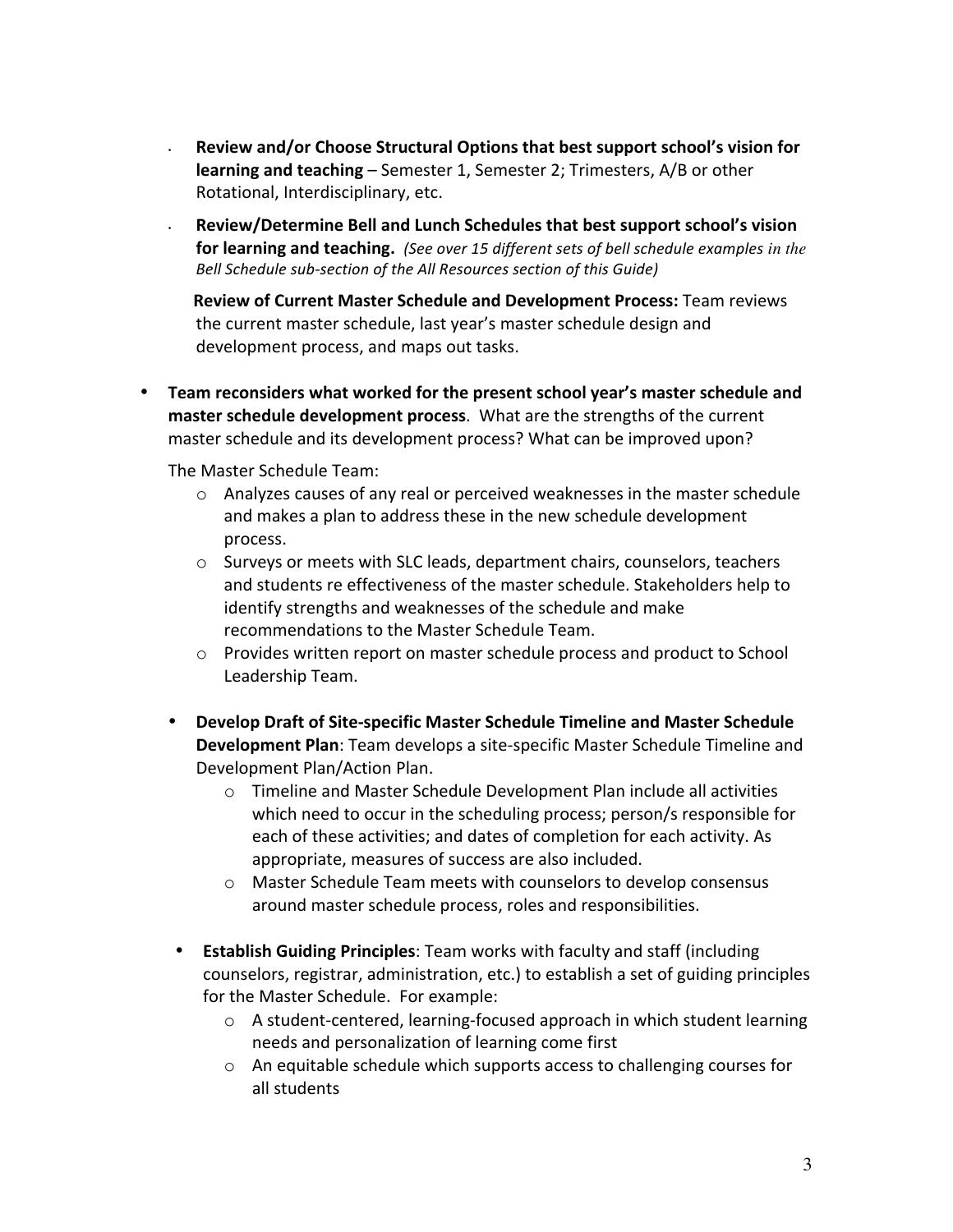- **EXEL THE SET IS EXEL THE SET IS NOTE THE SET IS NOTE:** Review and/or Choose Structural Options for  $\overline{a}$ **learning and teaching** – Semester 1, Semester 2; Trimesters, A/B or other Rotational, Interdisciplinary, etc.
- **Review/Determine Bell and Lunch Schedules that best support school's vision for learning and teaching.** (See over 15 different sets of bell schedule examples in the Bell Schedule sub-section of the All Resources section of this Guide)

**Review of Current Master Schedule and Development Process: Team reviews** the current master schedule, last year's master schedule design and development process, and maps out tasks.

• Team reconsiders what worked for the present school year's master schedule and **master schedule development process**. What are the strengths of the current master schedule and its development process? What can be improved upon?

The Master Schedule Team:

- $\circ$  Analyzes causes of any real or perceived weaknesses in the master schedule and makes a plan to address these in the new schedule development process.
- o Surveys or meets with SLC leads, department chairs, counselors, teachers and students re effectiveness of the master schedule. Stakeholders help to identify strengths and weaknesses of the schedule and make recommendations to the Master Schedule Team.
- $\circ$  Provides written report on master schedule process and product to School Leadership Team.
- Develop Draft of Site-specific Master Schedule Timeline and Master Schedule **Development Plan**: Team develops a site-specific Master Schedule Timeline and Development Plan/Action Plan.
	- $\circ$  Timeline and Master Schedule Development Plan include all activities which need to occur in the scheduling process; person/s responsible for each of these activities; and dates of completion for each activity. As appropriate, measures of success are also included.
	- $\circ$  Master Schedule Team meets with counselors to develop consensus around master schedule process, roles and responsibilities.
- **Establish Guiding Principles**: Team works with faculty and staff (including counselors, registrar, administration, etc.) to establish a set of guiding principles for the Master Schedule. For example:
	- $\circ$  A student-centered, learning-focused approach in which student learning needs and personalization of learning come first
	- $\circ$  An equitable schedule which supports access to challenging courses for all students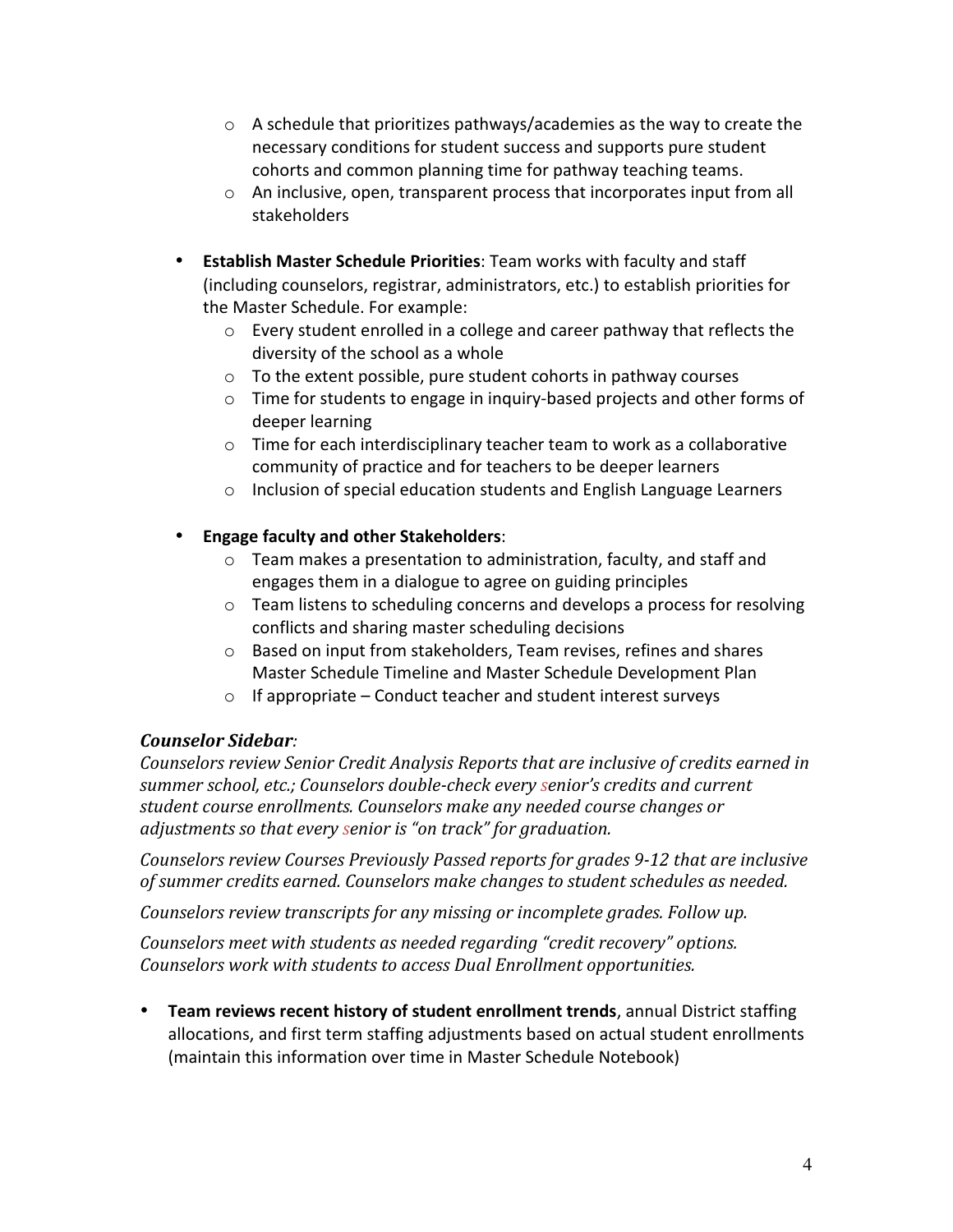- $\circ$  A schedule that prioritizes pathways/academies as the way to create the necessary conditions for student success and supports pure student cohorts and common planning time for pathway teaching teams.
- $\circ$  An inclusive, open, transparent process that incorporates input from all stakeholders
- **Establish Master Schedule Priorities**: Team works with faculty and staff (including counselors, registrar, administrators, etc.) to establish priorities for the Master Schedule. For example:
	- $\circ$  Every student enrolled in a college and career pathway that reflects the diversity of the school as a whole
	- $\circ$  To the extent possible, pure student cohorts in pathway courses
	- $\circ$  Time for students to engage in inquiry-based projects and other forms of deeper learning
	- $\circ$  Time for each interdisciplinary teacher team to work as a collaborative community of practice and for teachers to be deeper learners
	- $\circ$  Inclusion of special education students and English Language Learners
- **Engage faculty and other Stakeholders:** 
	- $\circ$  Team makes a presentation to administration, faculty, and staff and engages them in a dialogue to agree on guiding principles
	- $\circ$  Team listens to scheduling concerns and develops a process for resolving conflicts and sharing master scheduling decisions
	- $\circ$  Based on input from stakeholders, Team revises, refines and shares Master Schedule Timeline and Master Schedule Development Plan
	- $\circ$  If appropriate Conduct teacher and student interest surveys

## *Counselor Sidebar:*

*Counselors review Senior Credit Analysis Reports that are inclusive of credits earned in* summer school, etc.; Counselors double-check every senior's credits and current student course enrollments. Counselors make any needed course changes or *adjustments so that every senior is "on track" for graduation.* 

*Counselors review Courses Previously Passed reports for grades 9-12 that are inclusive* of summer credits earned. Counselors make changes to student schedules as needed.

*Counselors review transcripts for any missing or incomplete grades. Follow up.* 

*Counselors meet with students as needed regarding "credit recovery" options.* Counselors work with students to access Dual Enrollment opportunities.

• Team reviews recent history of student enrollment trends, annual District staffing allocations, and first term staffing adjustments based on actual student enrollments (maintain this information over time in Master Schedule Notebook)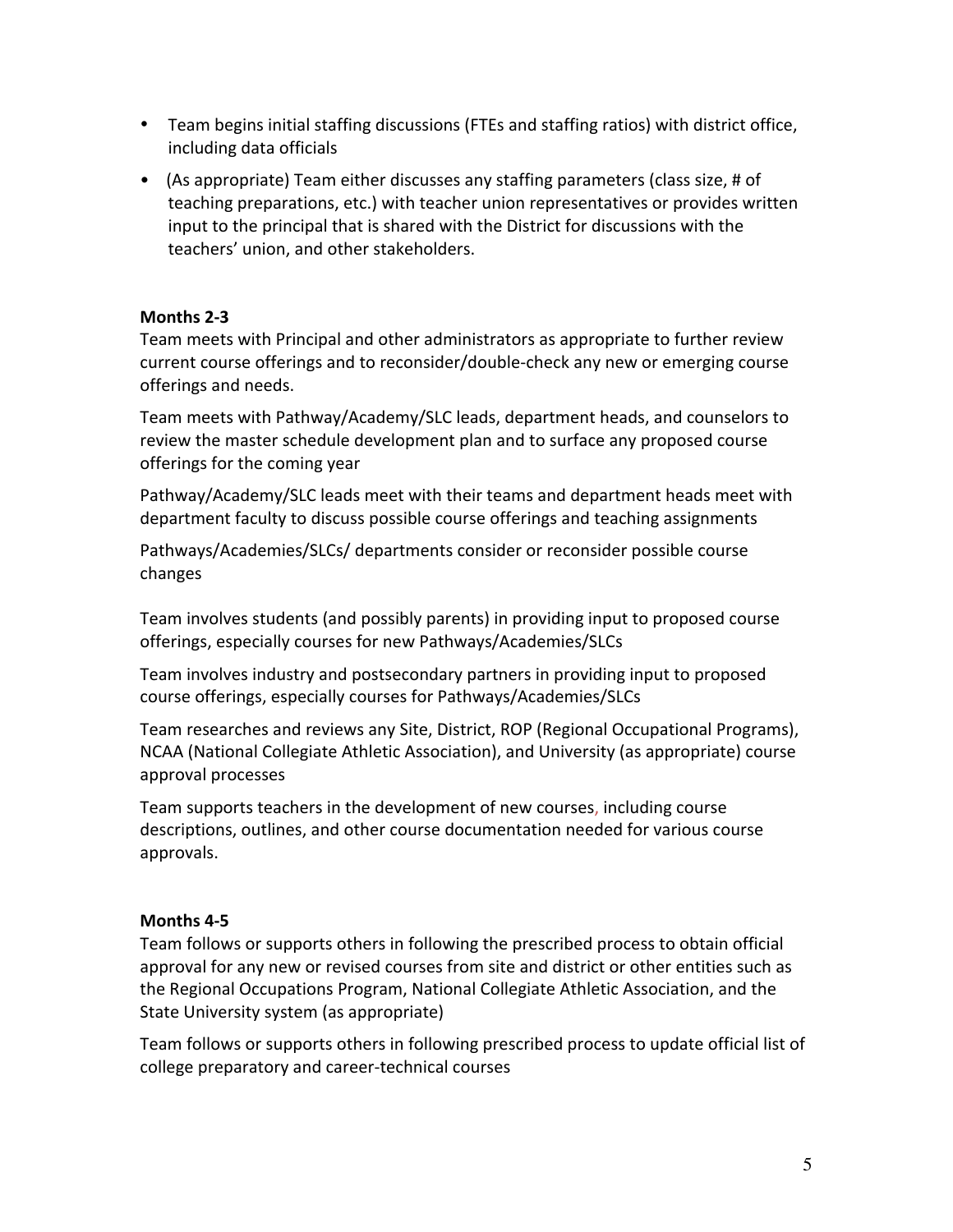- Team begins initial staffing discussions (FTEs and staffing ratios) with district office, including data officials
- (As appropriate) Team either discusses any staffing parameters (class size, # of teaching preparations, etc.) with teacher union representatives or provides written input to the principal that is shared with the District for discussions with the teachers' union, and other stakeholders.

### **Months 2-3**

Team meets with Principal and other administrators as appropriate to further review current course offerings and to reconsider/double-check any new or emerging course offerings and needs.

Team meets with Pathway/Academy/SLC leads, department heads, and counselors to review the master schedule development plan and to surface any proposed course offerings for the coming year

Pathway/Academy/SLC leads meet with their teams and department heads meet with department faculty to discuss possible course offerings and teaching assignments

Pathways/Academies/SLCs/ departments consider or reconsider possible course changes

Team involves students (and possibly parents) in providing input to proposed course offerings, especially courses for new Pathways/Academies/SLCs

Team involves industry and postsecondary partners in providing input to proposed course offerings, especially courses for Pathways/Academies/SLCs

Team researches and reviews any Site, District, ROP (Regional Occupational Programs), NCAA (National Collegiate Athletic Association), and University (as appropriate) course approval processes

Team supports teachers in the development of new courses, including course descriptions, outlines, and other course documentation needed for various course approvals. 

### **Months 4-5**

Team follows or supports others in following the prescribed process to obtain official approval for any new or revised courses from site and district or other entities such as the Regional Occupations Program, National Collegiate Athletic Association, and the State University system (as appropriate)

Team follows or supports others in following prescribed process to update official list of college preparatory and career-technical courses